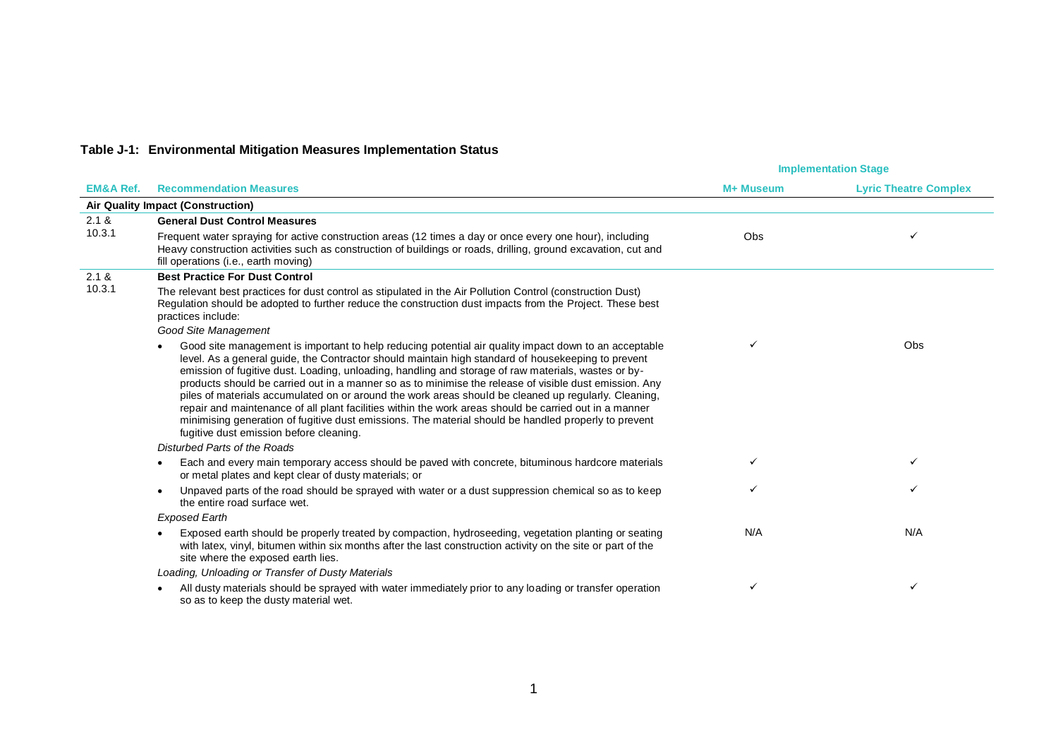## **Table J-1: Environmental Mitigation Measures Implementation Status**

|                      |                                                                                                                                                                                                                                                                                                                                                                                                                                                                                                                                                                                                                                                                                                                                                                                                   | <b>Implementation Stage</b> |                              |
|----------------------|---------------------------------------------------------------------------------------------------------------------------------------------------------------------------------------------------------------------------------------------------------------------------------------------------------------------------------------------------------------------------------------------------------------------------------------------------------------------------------------------------------------------------------------------------------------------------------------------------------------------------------------------------------------------------------------------------------------------------------------------------------------------------------------------------|-----------------------------|------------------------------|
| <b>EM&amp;A Ref.</b> | <b>Recommendation Measures</b>                                                                                                                                                                                                                                                                                                                                                                                                                                                                                                                                                                                                                                                                                                                                                                    | M+ Museum                   | <b>Lyric Theatre Complex</b> |
|                      | <b>Air Quality Impact (Construction)</b>                                                                                                                                                                                                                                                                                                                                                                                                                                                                                                                                                                                                                                                                                                                                                          |                             |                              |
| 2.1 &                | <b>General Dust Control Measures</b>                                                                                                                                                                                                                                                                                                                                                                                                                                                                                                                                                                                                                                                                                                                                                              |                             |                              |
| 10.3.1               | Frequent water spraying for active construction areas (12 times a day or once every one hour), including<br>Heavy construction activities such as construction of buildings or roads, drilling, ground excavation, cut and<br>fill operations (i.e., earth moving)                                                                                                                                                                                                                                                                                                                                                                                                                                                                                                                                | Obs                         |                              |
| 2.1 &                | <b>Best Practice For Dust Control</b>                                                                                                                                                                                                                                                                                                                                                                                                                                                                                                                                                                                                                                                                                                                                                             |                             |                              |
| 10.3.1               | The relevant best practices for dust control as stipulated in the Air Pollution Control (construction Dust)<br>Regulation should be adopted to further reduce the construction dust impacts from the Project. These best<br>practices include:                                                                                                                                                                                                                                                                                                                                                                                                                                                                                                                                                    |                             |                              |
|                      | Good Site Management                                                                                                                                                                                                                                                                                                                                                                                                                                                                                                                                                                                                                                                                                                                                                                              |                             |                              |
|                      | Good site management is important to help reducing potential air quality impact down to an acceptable<br>level. As a general guide, the Contractor should maintain high standard of housekeeping to prevent<br>emission of fugitive dust. Loading, unloading, handling and storage of raw materials, wastes or by-<br>products should be carried out in a manner so as to minimise the release of visible dust emission. Any<br>piles of materials accumulated on or around the work areas should be cleaned up regularly. Cleaning,<br>repair and maintenance of all plant facilities within the work areas should be carried out in a manner<br>minimising generation of fugitive dust emissions. The material should be handled properly to prevent<br>fugitive dust emission before cleaning. |                             | Obs                          |
|                      | Disturbed Parts of the Roads                                                                                                                                                                                                                                                                                                                                                                                                                                                                                                                                                                                                                                                                                                                                                                      |                             |                              |
|                      | Each and every main temporary access should be paved with concrete, bituminous hardcore materials<br>or metal plates and kept clear of dusty materials; or                                                                                                                                                                                                                                                                                                                                                                                                                                                                                                                                                                                                                                        |                             | ✓                            |
|                      | Unpaved parts of the road should be sprayed with water or a dust suppression chemical so as to keep<br>the entire road surface wet.                                                                                                                                                                                                                                                                                                                                                                                                                                                                                                                                                                                                                                                               | ✓                           | ✓                            |
|                      | <b>Exposed Earth</b>                                                                                                                                                                                                                                                                                                                                                                                                                                                                                                                                                                                                                                                                                                                                                                              |                             |                              |
|                      | Exposed earth should be properly treated by compaction, hydroseeding, vegetation planting or seating<br>with latex, vinyl, bitumen within six months after the last construction activity on the site or part of the<br>site where the exposed earth lies.                                                                                                                                                                                                                                                                                                                                                                                                                                                                                                                                        | N/A                         | N/A                          |
|                      | Loading, Unloading or Transfer of Dusty Materials                                                                                                                                                                                                                                                                                                                                                                                                                                                                                                                                                                                                                                                                                                                                                 |                             |                              |
|                      | All dusty materials should be sprayed with water immediately prior to any loading or transfer operation<br>so as to keep the dusty material wet.                                                                                                                                                                                                                                                                                                                                                                                                                                                                                                                                                                                                                                                  | ✓                           | ✓                            |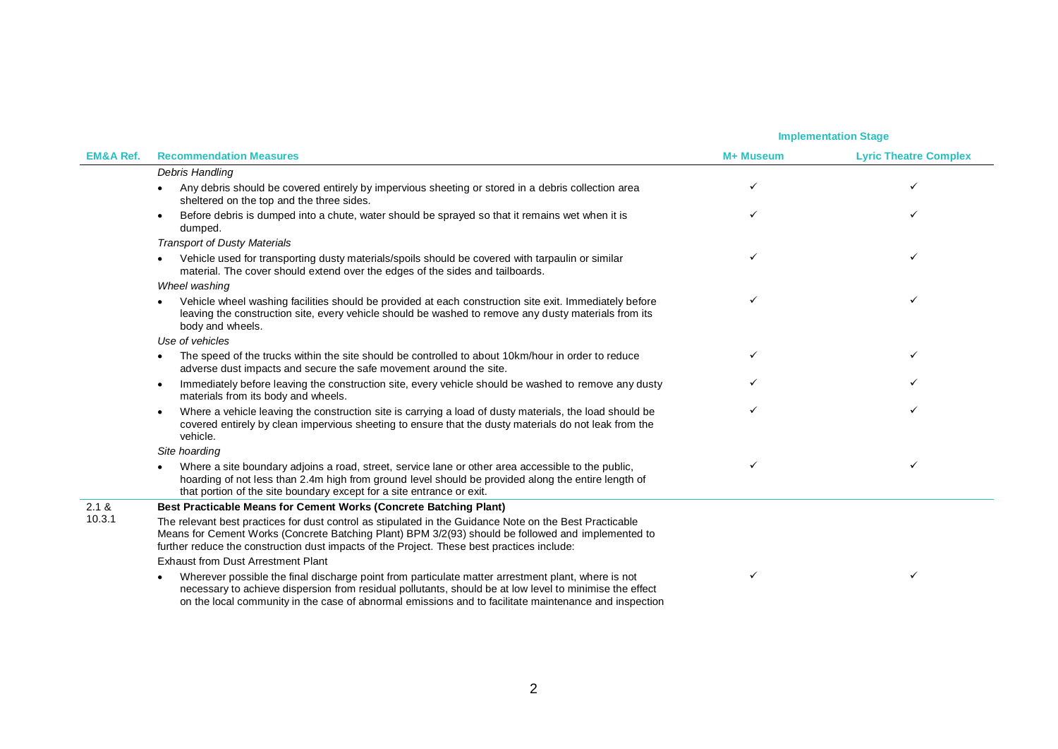|                      |                                                                                                                                                                                                                                                                                                                             |           | <b>Implementation Stage</b>  |
|----------------------|-----------------------------------------------------------------------------------------------------------------------------------------------------------------------------------------------------------------------------------------------------------------------------------------------------------------------------|-----------|------------------------------|
| <b>EM&amp;A Ref.</b> | <b>Recommendation Measures</b>                                                                                                                                                                                                                                                                                              | M+ Museum | <b>Lyric Theatre Complex</b> |
|                      | Debris Handling                                                                                                                                                                                                                                                                                                             |           |                              |
|                      | Any debris should be covered entirely by impervious sheeting or stored in a debris collection area<br>sheltered on the top and the three sides.                                                                                                                                                                             | ✓         | ✓                            |
|                      | Before debris is dumped into a chute, water should be sprayed so that it remains wet when it is<br>$\bullet$<br>dumped.                                                                                                                                                                                                     |           | ✓                            |
|                      | <b>Transport of Dusty Materials</b>                                                                                                                                                                                                                                                                                         |           |                              |
|                      | Vehicle used for transporting dusty materials/spoils should be covered with tarpaulin or similar<br>$\bullet$<br>material. The cover should extend over the edges of the sides and tailboards.                                                                                                                              |           |                              |
|                      | Wheel washing                                                                                                                                                                                                                                                                                                               |           |                              |
|                      | Vehicle wheel washing facilities should be provided at each construction site exit. Immediately before<br>$\bullet$<br>leaving the construction site, every vehicle should be washed to remove any dusty materials from its<br>body and wheels.                                                                             |           | ✓                            |
|                      | Use of vehicles                                                                                                                                                                                                                                                                                                             |           |                              |
|                      | The speed of the trucks within the site should be controlled to about 10km/hour in order to reduce<br>$\bullet$<br>adverse dust impacts and secure the safe movement around the site.                                                                                                                                       | ✓         | ✓                            |
|                      | Immediately before leaving the construction site, every vehicle should be washed to remove any dusty<br>$\bullet$<br>materials from its body and wheels.                                                                                                                                                                    |           |                              |
|                      | Where a vehicle leaving the construction site is carrying a load of dusty materials, the load should be<br>$\bullet$<br>covered entirely by clean impervious sheeting to ensure that the dusty materials do not leak from the<br>vehicle.                                                                                   | ✓         | ✓                            |
|                      | Site hoarding                                                                                                                                                                                                                                                                                                               |           |                              |
|                      | Where a site boundary adjoins a road, street, service lane or other area accessible to the public,<br>$\bullet$<br>hoarding of not less than 2.4m high from ground level should be provided along the entire length of<br>that portion of the site boundary except for a site entrance or exit.                             | ✓         | ✓                            |
| 2.1 &                | Best Practicable Means for Cement Works (Concrete Batching Plant)                                                                                                                                                                                                                                                           |           |                              |
| 10.3.1               | The relevant best practices for dust control as stipulated in the Guidance Note on the Best Practicable<br>Means for Cement Works (Concrete Batching Plant) BPM 3/2(93) should be followed and implemented to<br>further reduce the construction dust impacts of the Project. These best practices include:                 |           |                              |
|                      | <b>Exhaust from Dust Arrestment Plant</b>                                                                                                                                                                                                                                                                                   |           |                              |
|                      | Wherever possible the final discharge point from particulate matter arrestment plant, where is not<br>٠<br>necessary to achieve dispersion from residual pollutants, should be at low level to minimise the effect<br>on the local community in the case of abnormal emissions and to facilitate maintenance and inspection | ✓         | ✓                            |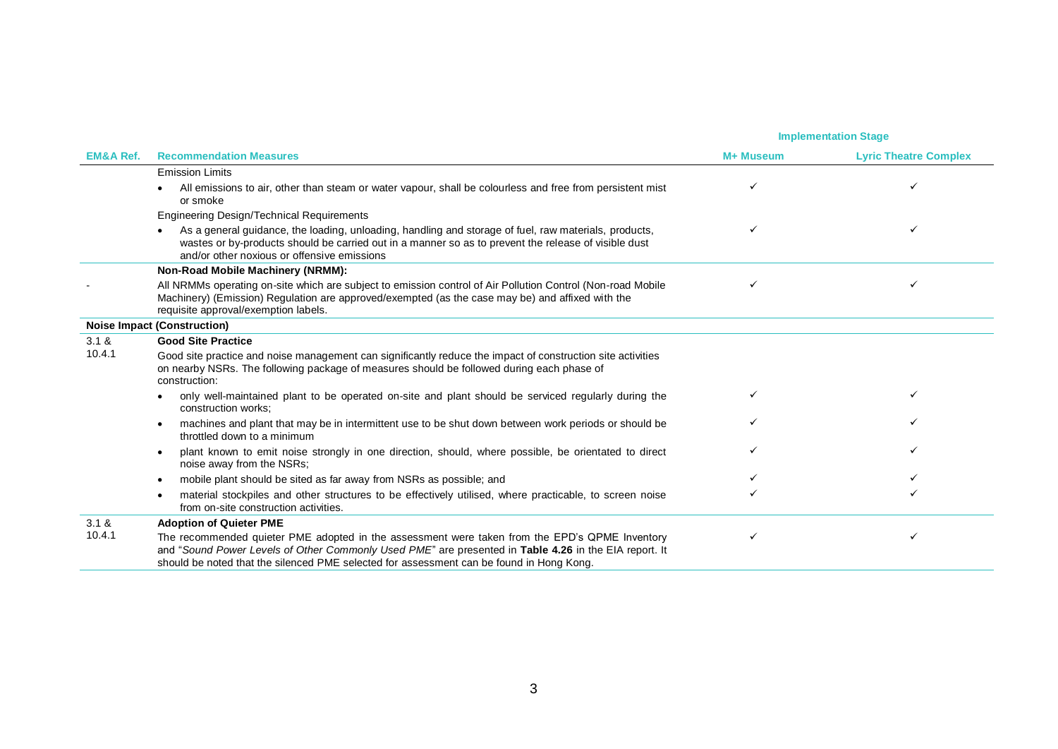|                      |                                                                                                                                                                                                                                                                                                     | <b>Implementation Stage</b> |                              |
|----------------------|-----------------------------------------------------------------------------------------------------------------------------------------------------------------------------------------------------------------------------------------------------------------------------------------------------|-----------------------------|------------------------------|
| <b>EM&amp;A Ref.</b> | <b>Recommendation Measures</b>                                                                                                                                                                                                                                                                      | M+ Museum                   | <b>Lyric Theatre Complex</b> |
|                      | <b>Emission Limits</b>                                                                                                                                                                                                                                                                              |                             |                              |
|                      | All emissions to air, other than steam or water vapour, shall be colourless and free from persistent mist<br>or smoke                                                                                                                                                                               |                             |                              |
|                      | Engineering Design/Technical Requirements                                                                                                                                                                                                                                                           |                             |                              |
|                      | As a general guidance, the loading, unloading, handling and storage of fuel, raw materials, products,<br>wastes or by-products should be carried out in a manner so as to prevent the release of visible dust<br>and/or other noxious or offensive emissions                                        |                             |                              |
|                      | Non-Road Mobile Machinery (NRMM):                                                                                                                                                                                                                                                                   |                             |                              |
|                      | All NRMMs operating on-site which are subject to emission control of Air Pollution Control (Non-road Mobile<br>Machinery) (Emission) Regulation are approved/exempted (as the case may be) and affixed with the<br>requisite approval/exemption labels.                                             |                             | ✓                            |
|                      | <b>Noise Impact (Construction)</b>                                                                                                                                                                                                                                                                  |                             |                              |
| 3.1 &                | <b>Good Site Practice</b>                                                                                                                                                                                                                                                                           |                             |                              |
| 10.4.1               | Good site practice and noise management can significantly reduce the impact of construction site activities<br>on nearby NSRs. The following package of measures should be followed during each phase of<br>construction:                                                                           |                             |                              |
|                      | only well-maintained plant to be operated on-site and plant should be serviced regularly during the<br>construction works:                                                                                                                                                                          |                             |                              |
|                      | machines and plant that may be in intermittent use to be shut down between work periods or should be<br>throttled down to a minimum                                                                                                                                                                 |                             |                              |
|                      | plant known to emit noise strongly in one direction, should, where possible, be orientated to direct<br>noise away from the NSRs;                                                                                                                                                                   |                             |                              |
|                      | mobile plant should be sited as far away from NSRs as possible; and                                                                                                                                                                                                                                 |                             |                              |
|                      | material stockpiles and other structures to be effectively utilised, where practicable, to screen noise<br>from on-site construction activities.                                                                                                                                                    |                             |                              |
| 3.1 &                | <b>Adoption of Quieter PME</b>                                                                                                                                                                                                                                                                      |                             |                              |
| 10.4.1               | The recommended quieter PME adopted in the assessment were taken from the EPD's QPME Inventory<br>and "Sound Power Levels of Other Commonly Used PME" are presented in Table 4.26 in the EIA report. It<br>should be noted that the silenced PME selected for assessment can be found in Hong Kong. |                             |                              |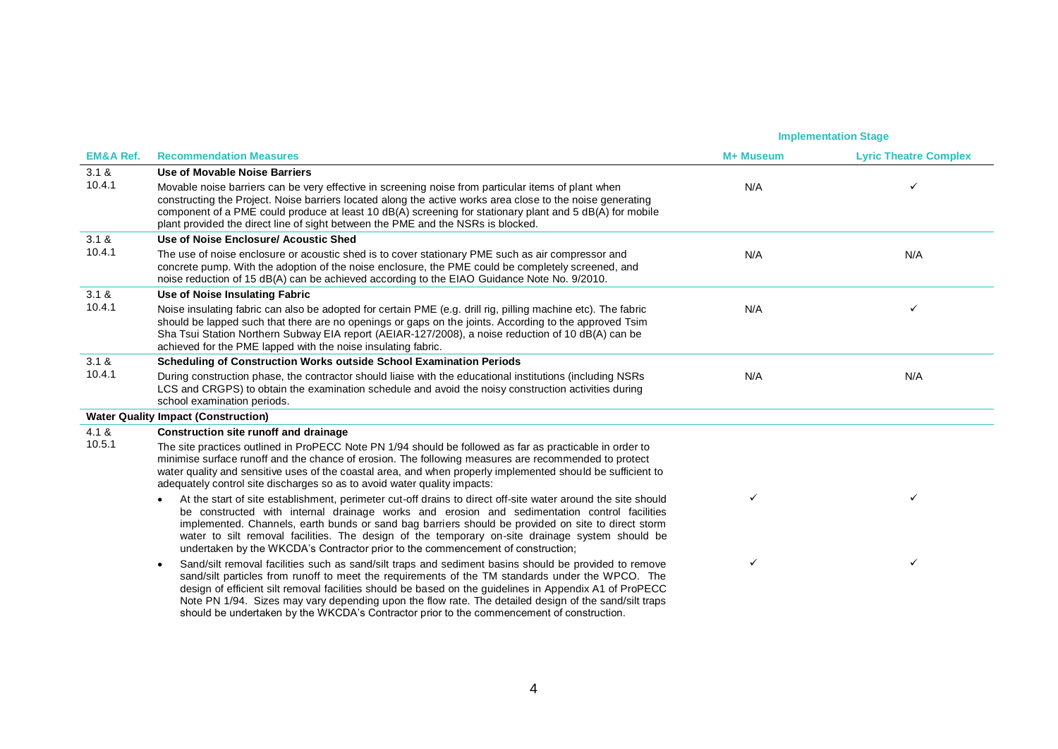|                      |                                                                                                                                                                                                                                                                                                                                                                                                                                                                                                                                         | <b>Implementation Stage</b> |                              |
|----------------------|-----------------------------------------------------------------------------------------------------------------------------------------------------------------------------------------------------------------------------------------------------------------------------------------------------------------------------------------------------------------------------------------------------------------------------------------------------------------------------------------------------------------------------------------|-----------------------------|------------------------------|
| <b>EM&amp;A Ref.</b> | <b>Recommendation Measures</b>                                                                                                                                                                                                                                                                                                                                                                                                                                                                                                          | M+ Museum                   | <b>Lyric Theatre Complex</b> |
| 3.1 &                | Use of Movable Noise Barriers                                                                                                                                                                                                                                                                                                                                                                                                                                                                                                           |                             |                              |
| 10.4.1               | Movable noise barriers can be very effective in screening noise from particular items of plant when<br>constructing the Project. Noise barriers located along the active works area close to the noise generating<br>component of a PME could produce at least 10 dB(A) screening for stationary plant and 5 dB(A) for mobile<br>plant provided the direct line of sight between the PME and the NSRs is blocked.                                                                                                                       | N/A                         |                              |
| 3.1 &                | Use of Noise Enclosure/ Acoustic Shed                                                                                                                                                                                                                                                                                                                                                                                                                                                                                                   |                             |                              |
| 10.4.1               | The use of noise enclosure or acoustic shed is to cover stationary PME such as air compressor and<br>concrete pump. With the adoption of the noise enclosure, the PME could be completely screened, and<br>noise reduction of 15 dB(A) can be achieved according to the EIAO Guidance Note No. 9/2010.                                                                                                                                                                                                                                  | N/A                         | N/A                          |
| 3.1 &                | Use of Noise Insulating Fabric                                                                                                                                                                                                                                                                                                                                                                                                                                                                                                          |                             |                              |
| 10.4.1               | Noise insulating fabric can also be adopted for certain PME (e.g. drill rig, pilling machine etc). The fabric<br>should be lapped such that there are no openings or gaps on the joints. According to the approved Tsim<br>Sha Tsui Station Northern Subway EIA report (AEIAR-127/2008), a noise reduction of 10 dB(A) can be<br>achieved for the PME lapped with the noise insulating fabric.                                                                                                                                          | N/A                         | ✓                            |
| 3.1 &                | <b>Scheduling of Construction Works outside School Examination Periods</b>                                                                                                                                                                                                                                                                                                                                                                                                                                                              |                             |                              |
| 10.4.1               | During construction phase, the contractor should liaise with the educational institutions (including NSRs<br>LCS and CRGPS) to obtain the examination schedule and avoid the noisy construction activities during<br>school examination periods.                                                                                                                                                                                                                                                                                        | N/A                         | N/A                          |
|                      | <b>Water Quality Impact (Construction)</b>                                                                                                                                                                                                                                                                                                                                                                                                                                                                                              |                             |                              |
| 4.1 &                | <b>Construction site runoff and drainage</b>                                                                                                                                                                                                                                                                                                                                                                                                                                                                                            |                             |                              |
| 10.5.1               | The site practices outlined in ProPECC Note PN 1/94 should be followed as far as practicable in order to<br>minimise surface runoff and the chance of erosion. The following measures are recommended to protect<br>water quality and sensitive uses of the coastal area, and when properly implemented should be sufficient to<br>adequately control site discharges so as to avoid water quality impacts:                                                                                                                             |                             |                              |
|                      | At the start of site establishment, perimeter cut-off drains to direct off-site water around the site should<br>$\bullet$<br>be constructed with internal drainage works and erosion and sedimentation control facilities<br>implemented. Channels, earth bunds or sand bag barriers should be provided on site to direct storm<br>water to silt removal facilities. The design of the temporary on-site drainage system should be<br>undertaken by the WKCDA's Contractor prior to the commencement of construction;                   | ✓                           | $\checkmark$                 |
|                      | Sand/silt removal facilities such as sand/silt traps and sediment basins should be provided to remove<br>$\bullet$<br>sand/silt particles from runoff to meet the requirements of the TM standards under the WPCO. The<br>design of efficient silt removal facilities should be based on the guidelines in Appendix A1 of ProPECC<br>Note PN 1/94. Sizes may vary depending upon the flow rate. The detailed design of the sand/silt traps<br>should be undertaken by the WKCDA's Contractor prior to the commencement of construction. |                             | $\checkmark$                 |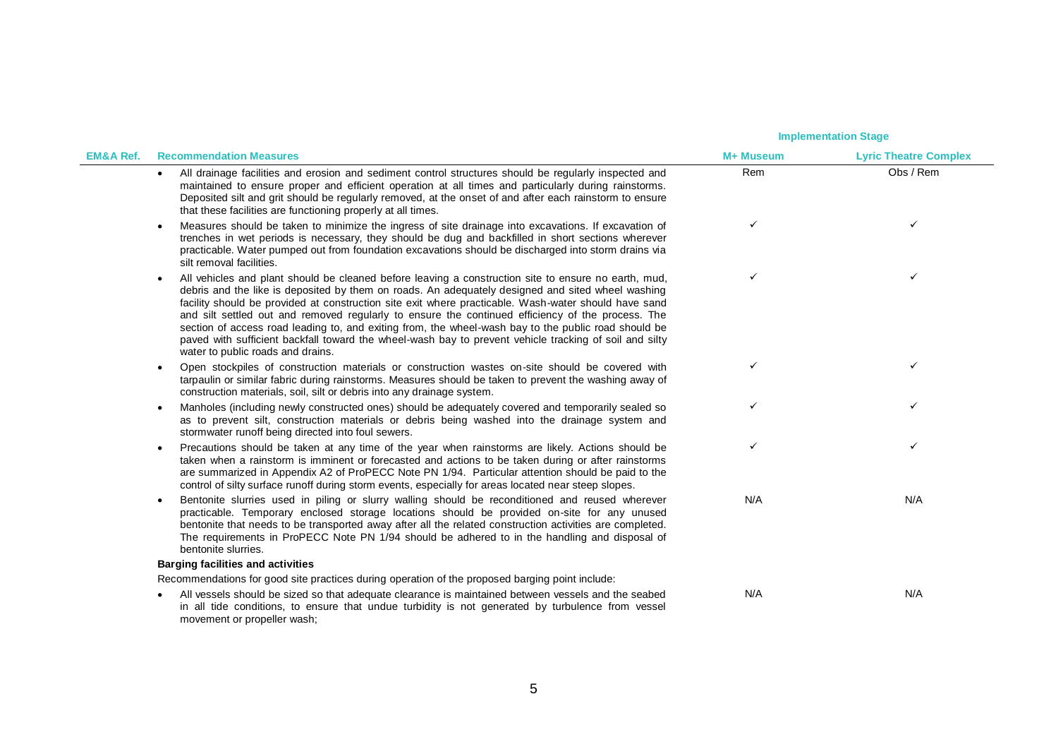| <b>EM&amp;A Ref.</b> | <b>Recommendation Measures</b>                                                                                                                                                                                                                                                                                                                                                                                                                                                                                                                                                                                                                                                | M+ Museum | <b>Lyric Theatre Complex</b> |
|----------------------|-------------------------------------------------------------------------------------------------------------------------------------------------------------------------------------------------------------------------------------------------------------------------------------------------------------------------------------------------------------------------------------------------------------------------------------------------------------------------------------------------------------------------------------------------------------------------------------------------------------------------------------------------------------------------------|-----------|------------------------------|
|                      | All drainage facilities and erosion and sediment control structures should be regularly inspected and<br>$\bullet$<br>maintained to ensure proper and efficient operation at all times and particularly during rainstorms.<br>Deposited silt and grit should be regularly removed, at the onset of and after each rainstorm to ensure<br>that these facilities are functioning properly at all times.                                                                                                                                                                                                                                                                         | Rem       | Obs / Rem                    |
|                      | Measures should be taken to minimize the ingress of site drainage into excavations. If excavation of<br>trenches in wet periods is necessary, they should be dug and backfilled in short sections wherever<br>practicable. Water pumped out from foundation excavations should be discharged into storm drains via<br>silt removal facilities.                                                                                                                                                                                                                                                                                                                                | ✓         | ✓                            |
|                      | All vehicles and plant should be cleaned before leaving a construction site to ensure no earth, mud,<br>debris and the like is deposited by them on roads. An adequately designed and sited wheel washing<br>facility should be provided at construction site exit where practicable. Wash-water should have sand<br>and silt settled out and removed regularly to ensure the continued efficiency of the process. The<br>section of access road leading to, and exiting from, the wheel-wash bay to the public road should be<br>paved with sufficient backfall toward the wheel-wash bay to prevent vehicle tracking of soil and silty<br>water to public roads and drains. |           | ✓                            |
|                      | Open stockpiles of construction materials or construction wastes on-site should be covered with<br>tarpaulin or similar fabric during rainstorms. Measures should be taken to prevent the washing away of<br>construction materials, soil, silt or debris into any drainage system.                                                                                                                                                                                                                                                                                                                                                                                           |           | ✓                            |
|                      | Manholes (including newly constructed ones) should be adequately covered and temporarily sealed so<br>as to prevent silt, construction materials or debris being washed into the drainage system and<br>stormwater runoff being directed into foul sewers.                                                                                                                                                                                                                                                                                                                                                                                                                    |           | ✓                            |
|                      | Precautions should be taken at any time of the year when rainstorms are likely. Actions should be<br>taken when a rainstorm is imminent or forecasted and actions to be taken during or after rainstorms<br>are summarized in Appendix A2 of ProPECC Note PN 1/94. Particular attention should be paid to the<br>control of silty surface runoff during storm events, especially for areas located near steep slopes.                                                                                                                                                                                                                                                         |           | ✓                            |
|                      | Bentonite slurries used in piling or slurry walling should be reconditioned and reused wherever<br>practicable. Temporary enclosed storage locations should be provided on-site for any unused<br>bentonite that needs to be transported away after all the related construction activities are completed.<br>The requirements in ProPECC Note PN 1/94 should be adhered to in the handling and disposal of<br>bentonite slurries.                                                                                                                                                                                                                                            | N/A       | N/A                          |
|                      | <b>Barging facilities and activities</b>                                                                                                                                                                                                                                                                                                                                                                                                                                                                                                                                                                                                                                      |           |                              |
|                      | Recommendations for good site practices during operation of the proposed barging point include:                                                                                                                                                                                                                                                                                                                                                                                                                                                                                                                                                                               |           |                              |
|                      | All vessels should be sized so that adequate clearance is maintained between vessels and the seabed<br>in all tide conditions, to ensure that undue turbidity is not generated by turbulence from vessel<br>movement or propeller wash;                                                                                                                                                                                                                                                                                                                                                                                                                                       | N/A       | N/A                          |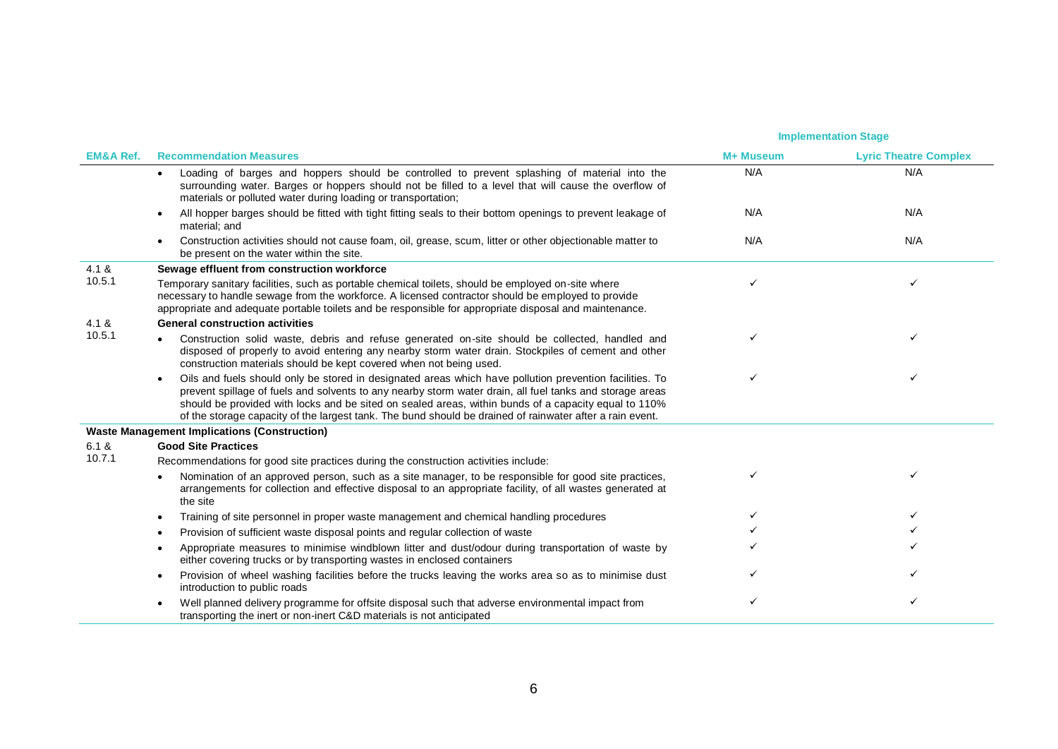|                      |                                                                                                                                                                                                                                                                                                                                                                                                                                                      |           | <b>Implementation Stage</b>  |  |
|----------------------|------------------------------------------------------------------------------------------------------------------------------------------------------------------------------------------------------------------------------------------------------------------------------------------------------------------------------------------------------------------------------------------------------------------------------------------------------|-----------|------------------------------|--|
| <b>EM&amp;A Ref.</b> | <b>Recommendation Measures</b>                                                                                                                                                                                                                                                                                                                                                                                                                       | M+ Museum | <b>Lyric Theatre Complex</b> |  |
|                      | Loading of barges and hoppers should be controlled to prevent splashing of material into the<br>$\bullet$<br>surrounding water. Barges or hoppers should not be filled to a level that will cause the overflow of<br>materials or polluted water during loading or transportation;                                                                                                                                                                   | N/A       | N/A                          |  |
|                      | All hopper barges should be fitted with tight fitting seals to their bottom openings to prevent leakage of<br>$\bullet$<br>material; and                                                                                                                                                                                                                                                                                                             | N/A       | N/A                          |  |
|                      | Construction activities should not cause foam, oil, grease, scum, litter or other objectionable matter to<br>$\bullet$<br>be present on the water within the site.                                                                                                                                                                                                                                                                                   | N/A       | N/A                          |  |
| 4.1 &                | Sewage effluent from construction workforce                                                                                                                                                                                                                                                                                                                                                                                                          |           |                              |  |
| 10.5.1               | Temporary sanitary facilities, such as portable chemical toilets, should be employed on-site where<br>necessary to handle sewage from the workforce. A licensed contractor should be employed to provide<br>appropriate and adequate portable toilets and be responsible for appropriate disposal and maintenance.                                                                                                                                   |           |                              |  |
| 4.1 &                | <b>General construction activities</b>                                                                                                                                                                                                                                                                                                                                                                                                               |           |                              |  |
| 10.5.1               | Construction solid waste, debris and refuse generated on-site should be collected, handled and<br>disposed of properly to avoid entering any nearby storm water drain. Stockpiles of cement and other<br>construction materials should be kept covered when not being used.                                                                                                                                                                          |           |                              |  |
|                      | Oils and fuels should only be stored in designated areas which have pollution prevention facilities. To<br>$\bullet$<br>prevent spillage of fuels and solvents to any nearby storm water drain, all fuel tanks and storage areas<br>should be provided with locks and be sited on sealed areas, within bunds of a capacity equal to 110%<br>of the storage capacity of the largest tank. The bund should be drained of rainwater after a rain event. |           |                              |  |
|                      | <b>Waste Management Implications (Construction)</b>                                                                                                                                                                                                                                                                                                                                                                                                  |           |                              |  |
| 6.1 &                | <b>Good Site Practices</b>                                                                                                                                                                                                                                                                                                                                                                                                                           |           |                              |  |
| 10.7.1               | Recommendations for good site practices during the construction activities include:                                                                                                                                                                                                                                                                                                                                                                  |           |                              |  |
|                      | Nomination of an approved person, such as a site manager, to be responsible for good site practices,<br>$\bullet$<br>arrangements for collection and effective disposal to an appropriate facility, of all wastes generated at<br>the site                                                                                                                                                                                                           |           |                              |  |
|                      | Training of site personnel in proper waste management and chemical handling procedures<br>$\bullet$                                                                                                                                                                                                                                                                                                                                                  |           |                              |  |
|                      | Provision of sufficient waste disposal points and regular collection of waste<br>$\bullet$                                                                                                                                                                                                                                                                                                                                                           |           |                              |  |
|                      | Appropriate measures to minimise windblown litter and dust/odour during transportation of waste by<br>$\bullet$<br>either covering trucks or by transporting wastes in enclosed containers                                                                                                                                                                                                                                                           |           |                              |  |
|                      | Provision of wheel washing facilities before the trucks leaving the works area so as to minimise dust<br>$\bullet$<br>introduction to public roads                                                                                                                                                                                                                                                                                                   |           |                              |  |
|                      | Well planned delivery programme for offsite disposal such that adverse environmental impact from<br>$\bullet$<br>transporting the inert or non-inert C&D materials is not anticipated                                                                                                                                                                                                                                                                |           | ✓                            |  |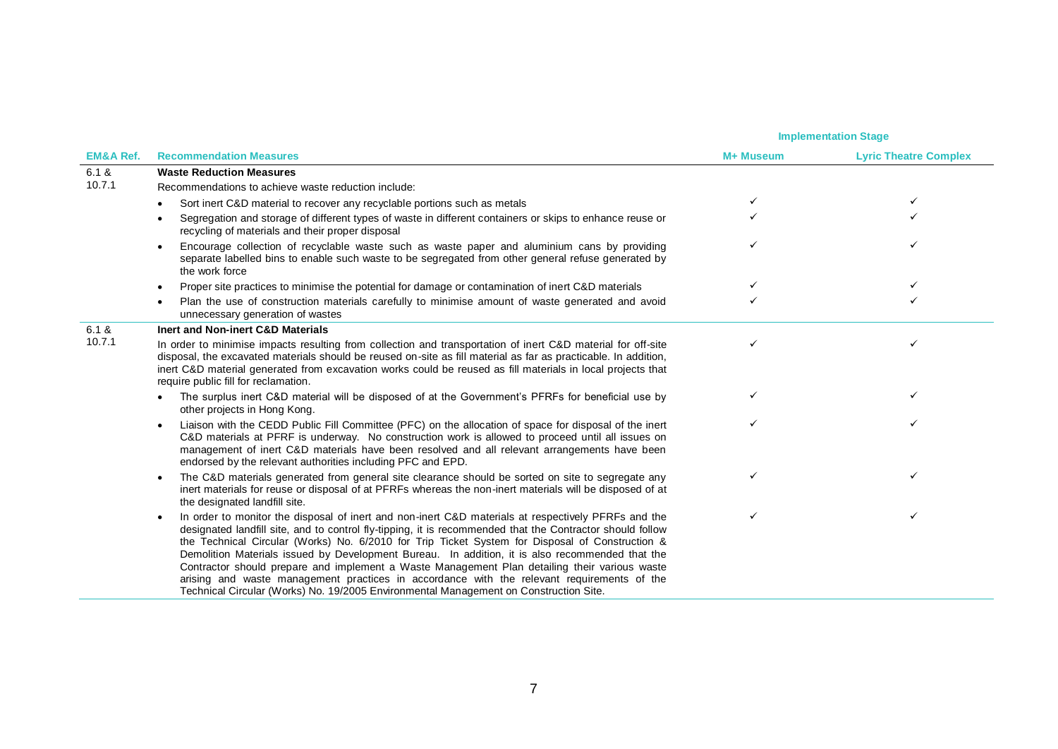|                      |                                                                                                                                                                                                                                                                                                                                                                                                                                                                                                                                                                                                                                                                                                                             | <b>Implementation Stage</b> |                              |
|----------------------|-----------------------------------------------------------------------------------------------------------------------------------------------------------------------------------------------------------------------------------------------------------------------------------------------------------------------------------------------------------------------------------------------------------------------------------------------------------------------------------------------------------------------------------------------------------------------------------------------------------------------------------------------------------------------------------------------------------------------------|-----------------------------|------------------------------|
| <b>EM&amp;A Ref.</b> | <b>Recommendation Measures</b>                                                                                                                                                                                                                                                                                                                                                                                                                                                                                                                                                                                                                                                                                              | M+ Museum                   | <b>Lyric Theatre Complex</b> |
| 6.1 &                | <b>Waste Reduction Measures</b>                                                                                                                                                                                                                                                                                                                                                                                                                                                                                                                                                                                                                                                                                             |                             |                              |
| 10.7.1               | Recommendations to achieve waste reduction include:                                                                                                                                                                                                                                                                                                                                                                                                                                                                                                                                                                                                                                                                         |                             |                              |
|                      | Sort inert C&D material to recover any recyclable portions such as metals                                                                                                                                                                                                                                                                                                                                                                                                                                                                                                                                                                                                                                                   |                             |                              |
|                      | Segregation and storage of different types of waste in different containers or skips to enhance reuse or<br>$\bullet$<br>recycling of materials and their proper disposal                                                                                                                                                                                                                                                                                                                                                                                                                                                                                                                                                   |                             |                              |
|                      | Encourage collection of recyclable waste such as waste paper and aluminium cans by providing<br>$\bullet$<br>separate labelled bins to enable such waste to be segregated from other general refuse generated by<br>the work force                                                                                                                                                                                                                                                                                                                                                                                                                                                                                          |                             |                              |
|                      | Proper site practices to minimise the potential for damage or contamination of inert C&D materials<br>$\bullet$                                                                                                                                                                                                                                                                                                                                                                                                                                                                                                                                                                                                             |                             |                              |
|                      | Plan the use of construction materials carefully to minimise amount of waste generated and avoid<br>$\bullet$<br>unnecessary generation of wastes                                                                                                                                                                                                                                                                                                                                                                                                                                                                                                                                                                           |                             |                              |
| 6.1 &                | Inert and Non-inert C&D Materials                                                                                                                                                                                                                                                                                                                                                                                                                                                                                                                                                                                                                                                                                           |                             |                              |
| 10.7.1               | In order to minimise impacts resulting from collection and transportation of inert C&D material for off-site<br>disposal, the excavated materials should be reused on-site as fill material as far as practicable. In addition,<br>inert C&D material generated from excavation works could be reused as fill materials in local projects that<br>require public fill for reclamation.                                                                                                                                                                                                                                                                                                                                      | ✓                           | ✓                            |
|                      | The surplus inert C&D material will be disposed of at the Government's PFRFs for beneficial use by<br>other projects in Hong Kong.                                                                                                                                                                                                                                                                                                                                                                                                                                                                                                                                                                                          |                             | ✓                            |
|                      | Liaison with the CEDD Public Fill Committee (PFC) on the allocation of space for disposal of the inert<br>$\bullet$<br>C&D materials at PFRF is underway. No construction work is allowed to proceed until all issues on<br>management of inert C&D materials have been resolved and all relevant arrangements have been<br>endorsed by the relevant authorities including PFC and EPD.                                                                                                                                                                                                                                                                                                                                     |                             | ✓                            |
|                      | The C&D materials generated from general site clearance should be sorted on site to segregate any<br>$\bullet$<br>inert materials for reuse or disposal of at PFRFs whereas the non-inert materials will be disposed of at<br>the designated landfill site.                                                                                                                                                                                                                                                                                                                                                                                                                                                                 |                             |                              |
|                      | In order to monitor the disposal of inert and non-inert C&D materials at respectively PFRFs and the<br>$\bullet$<br>designated landfill site, and to control fly-tipping, it is recommended that the Contractor should follow<br>the Technical Circular (Works) No. 6/2010 for Trip Ticket System for Disposal of Construction &<br>Demolition Materials issued by Development Bureau. In addition, it is also recommended that the<br>Contractor should prepare and implement a Waste Management Plan detailing their various waste<br>arising and waste management practices in accordance with the relevant requirements of the<br>Technical Circular (Works) No. 19/2005 Environmental Management on Construction Site. |                             |                              |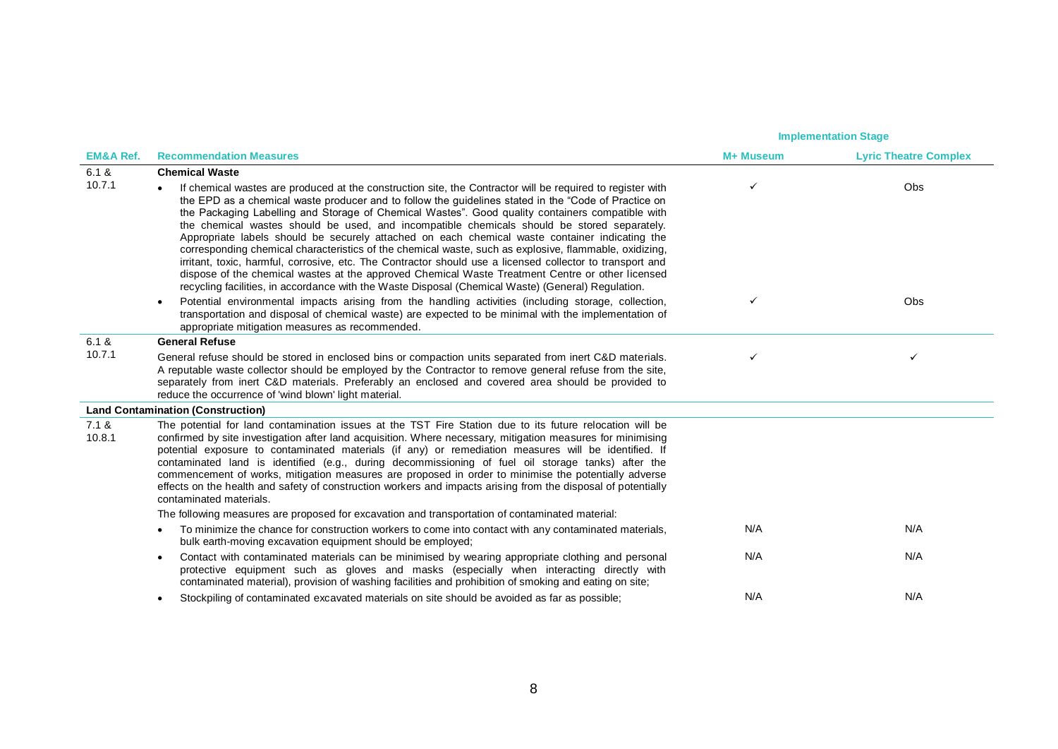|                      |                                                                                                                                                                                                                                                                                                                                                                                                                                                                                                                                                                                                                                                                                                                                                                                                                                                                                                                                                          | <b>Implementation Stage</b> |                              |
|----------------------|----------------------------------------------------------------------------------------------------------------------------------------------------------------------------------------------------------------------------------------------------------------------------------------------------------------------------------------------------------------------------------------------------------------------------------------------------------------------------------------------------------------------------------------------------------------------------------------------------------------------------------------------------------------------------------------------------------------------------------------------------------------------------------------------------------------------------------------------------------------------------------------------------------------------------------------------------------|-----------------------------|------------------------------|
| <b>EM&amp;A Ref.</b> | <b>Recommendation Measures</b>                                                                                                                                                                                                                                                                                                                                                                                                                                                                                                                                                                                                                                                                                                                                                                                                                                                                                                                           | M+ Museum                   | <b>Lyric Theatre Complex</b> |
| 6.1 &                | <b>Chemical Waste</b>                                                                                                                                                                                                                                                                                                                                                                                                                                                                                                                                                                                                                                                                                                                                                                                                                                                                                                                                    |                             |                              |
| 10.7.1               | If chemical wastes are produced at the construction site, the Contractor will be required to register with<br>the EPD as a chemical waste producer and to follow the guidelines stated in the "Code of Practice on<br>the Packaging Labelling and Storage of Chemical Wastes". Good quality containers compatible with<br>the chemical wastes should be used, and incompatible chemicals should be stored separately.<br>Appropriate labels should be securely attached on each chemical waste container indicating the<br>corresponding chemical characteristics of the chemical waste, such as explosive, flammable, oxidizing,<br>irritant, toxic, harmful, corrosive, etc. The Contractor should use a licensed collector to transport and<br>dispose of the chemical wastes at the approved Chemical Waste Treatment Centre or other licensed<br>recycling facilities, in accordance with the Waste Disposal (Chemical Waste) (General) Regulation. | ✓                           | Obs                          |
|                      | Potential environmental impacts arising from the handling activities (including storage, collection,<br>$\bullet$<br>transportation and disposal of chemical waste) are expected to be minimal with the implementation of<br>appropriate mitigation measures as recommended.                                                                                                                                                                                                                                                                                                                                                                                                                                                                                                                                                                                                                                                                             | ✓                           | Obs                          |
| 6.1 &                | <b>General Refuse</b>                                                                                                                                                                                                                                                                                                                                                                                                                                                                                                                                                                                                                                                                                                                                                                                                                                                                                                                                    |                             |                              |
| 10.7.1               | General refuse should be stored in enclosed bins or compaction units separated from inert C&D materials.<br>A reputable waste collector should be employed by the Contractor to remove general refuse from the site,<br>separately from inert C&D materials. Preferably an enclosed and covered area should be provided to<br>reduce the occurrence of 'wind blown' light material.                                                                                                                                                                                                                                                                                                                                                                                                                                                                                                                                                                      | ✓                           | ✓                            |
|                      | <b>Land Contamination (Construction)</b>                                                                                                                                                                                                                                                                                                                                                                                                                                                                                                                                                                                                                                                                                                                                                                                                                                                                                                                 |                             |                              |
| 7.1 &<br>10.8.1      | The potential for land contamination issues at the TST Fire Station due to its future relocation will be<br>confirmed by site investigation after land acquisition. Where necessary, mitigation measures for minimising<br>potential exposure to contaminated materials (if any) or remediation measures will be identified. If<br>contaminated land is identified (e.g., during decommissioning of fuel oil storage tanks) after the<br>commencement of works, mitigation measures are proposed in order to minimise the potentially adverse<br>effects on the health and safety of construction workers and impacts arising from the disposal of potentially<br>contaminated materials.                                                                                                                                                                                                                                                                |                             |                              |
|                      | The following measures are proposed for excavation and transportation of contaminated material:                                                                                                                                                                                                                                                                                                                                                                                                                                                                                                                                                                                                                                                                                                                                                                                                                                                          |                             |                              |
|                      | To minimize the chance for construction workers to come into contact with any contaminated materials,<br>$\bullet$<br>bulk earth-moving excavation equipment should be employed;                                                                                                                                                                                                                                                                                                                                                                                                                                                                                                                                                                                                                                                                                                                                                                         | N/A                         | N/A                          |
|                      | Contact with contaminated materials can be minimised by wearing appropriate clothing and personal<br>$\bullet$<br>protective equipment such as gloves and masks (especially when interacting directly with<br>contaminated material), provision of washing facilities and prohibition of smoking and eating on site;                                                                                                                                                                                                                                                                                                                                                                                                                                                                                                                                                                                                                                     | N/A                         | N/A                          |
|                      | Stockpiling of contaminated excavated materials on site should be avoided as far as possible;<br>$\bullet$                                                                                                                                                                                                                                                                                                                                                                                                                                                                                                                                                                                                                                                                                                                                                                                                                                               | N/A                         | N/A                          |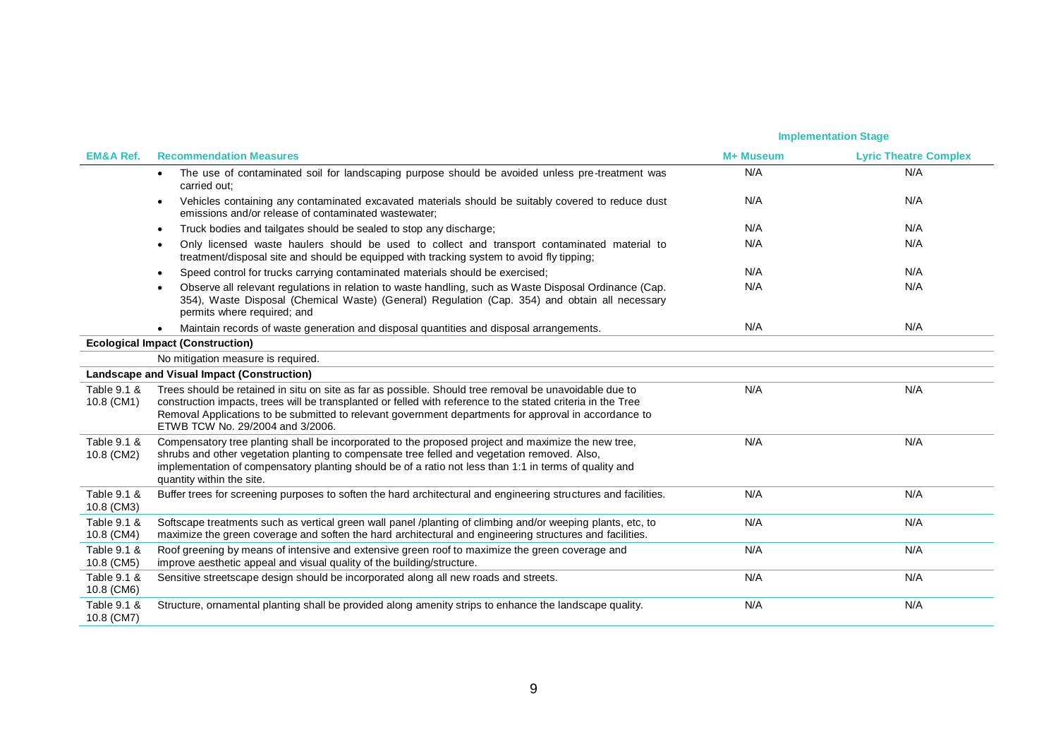|                           |                                                                                                                                                                                                                                                                                                                                                                     |           | <b>Implementation Stage</b>  |  |
|---------------------------|---------------------------------------------------------------------------------------------------------------------------------------------------------------------------------------------------------------------------------------------------------------------------------------------------------------------------------------------------------------------|-----------|------------------------------|--|
| <b>EM&amp;A Ref.</b>      | <b>Recommendation Measures</b>                                                                                                                                                                                                                                                                                                                                      | M+ Museum | <b>Lyric Theatre Complex</b> |  |
|                           | The use of contaminated soil for landscaping purpose should be avoided unless pre-treatment was<br>$\bullet$<br>carried out:                                                                                                                                                                                                                                        | N/A       | N/A                          |  |
|                           | Vehicles containing any contaminated excavated materials should be suitably covered to reduce dust<br>$\bullet$<br>emissions and/or release of contaminated wastewater:                                                                                                                                                                                             | N/A       | N/A                          |  |
|                           | Truck bodies and tailgates should be sealed to stop any discharge;<br>$\bullet$                                                                                                                                                                                                                                                                                     | N/A       | N/A                          |  |
|                           | Only licensed waste haulers should be used to collect and transport contaminated material to<br>$\bullet$<br>treatment/disposal site and should be equipped with tracking system to avoid fly tipping;                                                                                                                                                              | N/A       | N/A                          |  |
|                           | Speed control for trucks carrying contaminated materials should be exercised;<br>$\bullet$                                                                                                                                                                                                                                                                          | N/A       | N/A                          |  |
|                           | Observe all relevant regulations in relation to waste handling, such as Waste Disposal Ordinance (Cap.<br>354), Waste Disposal (Chemical Waste) (General) Regulation (Cap. 354) and obtain all necessary<br>permits where required; and                                                                                                                             | N/A       | N/A                          |  |
|                           | Maintain records of waste generation and disposal quantities and disposal arrangements.                                                                                                                                                                                                                                                                             | N/A       | N/A                          |  |
|                           | <b>Ecological Impact (Construction)</b>                                                                                                                                                                                                                                                                                                                             |           |                              |  |
|                           | No mitigation measure is required.                                                                                                                                                                                                                                                                                                                                  |           |                              |  |
|                           | Landscape and Visual Impact (Construction)                                                                                                                                                                                                                                                                                                                          |           |                              |  |
| Table 9.1 &<br>10.8 (CM1) | Trees should be retained in situ on site as far as possible. Should tree removal be unavoidable due to<br>construction impacts, trees will be transplanted or felled with reference to the stated criteria in the Tree<br>Removal Applications to be submitted to relevant government departments for approval in accordance to<br>ETWB TCW No. 29/2004 and 3/2006. | N/A       | N/A                          |  |
| Table 9.1 &<br>10.8 (CM2) | Compensatory tree planting shall be incorporated to the proposed project and maximize the new tree,<br>shrubs and other vegetation planting to compensate tree felled and vegetation removed. Also,<br>implementation of compensatory planting should be of a ratio not less than 1:1 in terms of quality and<br>quantity within the site.                          | N/A       | N/A                          |  |
| Table 9.1 &<br>10.8 (CM3) | Buffer trees for screening purposes to soften the hard architectural and engineering structures and facilities.                                                                                                                                                                                                                                                     | N/A       | N/A                          |  |
| Table 9.1 &<br>10.8 (CM4) | Softscape treatments such as vertical green wall panel /planting of climbing and/or weeping plants, etc, to<br>maximize the green coverage and soften the hard architectural and engineering structures and facilities.                                                                                                                                             | N/A       | N/A                          |  |
| Table 9.1 &<br>10.8 (CM5) | Roof greening by means of intensive and extensive green roof to maximize the green coverage and<br>improve aesthetic appeal and visual quality of the building/structure.                                                                                                                                                                                           | N/A       | N/A                          |  |
| Table 9.1 &<br>10.8 (CM6) | Sensitive streetscape design should be incorporated along all new roads and streets.                                                                                                                                                                                                                                                                                | N/A       | N/A                          |  |
| Table 9.1 &<br>10.8 (CM7) | Structure, ornamental planting shall be provided along amenity strips to enhance the landscape quality.                                                                                                                                                                                                                                                             | N/A       | N/A                          |  |